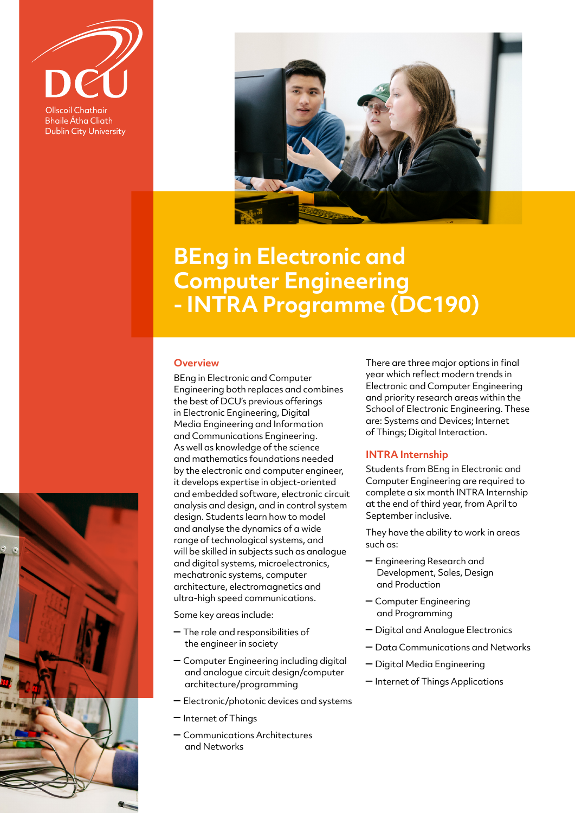

**Bhaile Átha Cliath Dublin City University** 



## **BEng in Electronic and Computer Engineering - INTRA Programme (DC190)**

## **Overview**

BEng in Electronic and Computer Engineering both replaces and combines the best of DCU's previous offerings in Electronic Engineering, Digital Media Engineering and Information and Communications Engineering. As well as knowledge of the science and mathematics foundations needed by the electronic and computer engineer, it develops expertise in object-oriented and embedded software, electronic circuit analysis and design, and in control system design. Students learn how to model and analyse the dynamics of a wide range of technological systems, and will be skilled in subjects such as analogue and digital systems, microelectronics, mechatronic systems, computer architecture, electromagnetics and ultra-high speed communications.

Some key areas include:

- The role and responsibilities of the engineer in society
- Computer Engineering including digital and analogue circuit design/computer architecture/programming
- Electronic/photonic devices and systems
- Internet of Things
- Communications Architectures and Networks

There are three major options in final year which reflect modern trends in Electronic and Computer Engineering and priority research areas within the School of Electronic Engineering. These are: Systems and Devices; Internet of Things; Digital Interaction.

## **INTRA Internship**

Students from BEng in Electronic and Computer Engineering are required to complete a six month INTRA Internship at the end of third year, from April to September inclusive.

They have the ability to work in areas such as:

- Engineering Research and Development, Sales, Design and Production
- Computer Engineering and Programming
- Digital and Analogue Electronics
- Data Communications and Networks
- Digital Media Engineering
- Internet of Things Applications